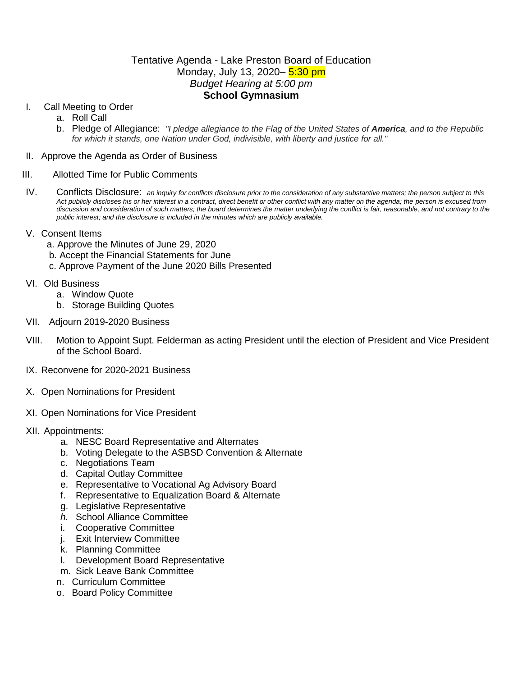## Tentative Agenda - Lake Preston Board of Education Monday, July 13, 2020– 5:30 pm *Budget Hearing at 5:00 pm* **School Gymnasium**

- I. Call Meeting to Order
	- a. Roll Call
	- b. Pledge of Allegiance: *"I pledge allegiance to the Flag of the United States of America, and to the Republic for which it stands, one Nation under God, indivisible, with liberty and justice for all."*

#### II. Approve the Agenda as Order of Business

#### III. Allotted Time for Public Comments

- IV. Conflicts Disclosure: *an inquiry for conflicts disclosure prior to the consideration of any substantive matters; the person subject to this*  Act publicly discloses his or her interest in a contract, direct benefit or other conflict with any matter on the agenda; the person is excused from *discussion and consideration of such matters; the board determines the matter underlying the conflict is fair, reasonable, and not contrary to the public interest; and the disclosure is included in the minutes which are publicly available.*
- V. Consent Items
	- a. Approve the Minutes of June 29, 2020
	- b. Accept the Financial Statements for June
	- c. Approve Payment of the June 2020 Bills Presented
- VI. Old Business
	- a. Window Quote
	- b. Storage Building Quotes
- VII. Adjourn 2019-2020 Business
- VIII. Motion to Appoint Supt. Felderman as acting President until the election of President and Vice President of the School Board.
- IX. Reconvene for 2020-2021 Business
- X. Open Nominations for President
- XI. Open Nominations for Vice President
- XII. Appointments:
	- a. NESC Board Representative and Alternates
	- b. Voting Delegate to the ASBSD Convention & Alternate
	- c. Negotiations Team
	- d. Capital Outlay Committee
	- e. Representative to Vocational Ag Advisory Board
	- f. Representative to Equalization Board & Alternate
	- g. Legislative Representative
	- *h.* School Alliance Committee
	- i. Cooperative Committee
	- j. Exit Interview Committee
	- k. Planning Committee
	- l. Development Board Representative
	- m. Sick Leave Bank Committee
	- n. Curriculum Committee
	- o. Board Policy Committee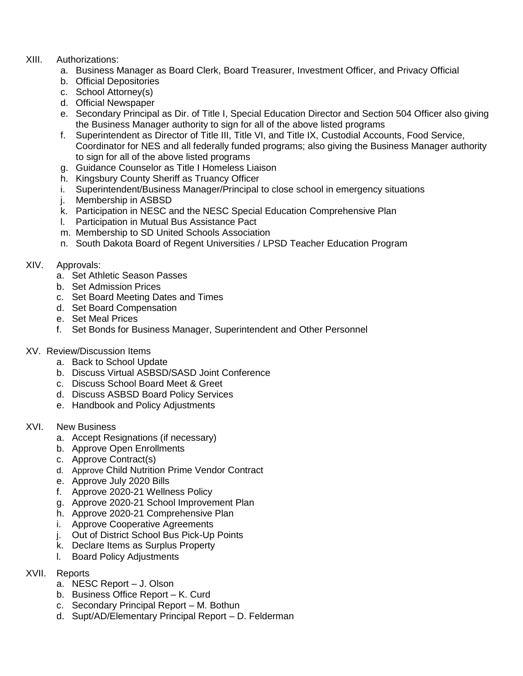# XIII. Authorizations:

- a. Business Manager as Board Clerk, Board Treasurer, Investment Officer, and Privacy Official
- b. Official Depositories
- c. School Attorney(s)
- d. Official Newspaper
- e. Secondary Principal as Dir. of Title I, Special Education Director and Section 504 Officer also giving the Business Manager authority to sign for all of the above listed programs
- f. Superintendent as Director of Title III, Title VI, and Title IX, Custodial Accounts, Food Service, Coordinator for NES and all federally funded programs; also giving the Business Manager authority to sign for all of the above listed programs
- g. Guidance Counselor as Title I Homeless Liaison
- h. Kingsbury County Sheriff as Truancy Officer
- i. Superintendent/Business Manager/Principal to close school in emergency situations
- j. Membership in ASBSD
- k. Participation in NESC and the NESC Special Education Comprehensive Plan
- l. Participation in Mutual Bus Assistance Pact
- m. Membership to SD United Schools Association
- n. South Dakota Board of Regent Universities / LPSD Teacher Education Program

# XIV. Approvals:

- a. Set Athletic Season Passes
- b. Set Admission Prices
- c. Set Board Meeting Dates and Times
- d. Set Board Compensation
- e. Set Meal Prices
- f. Set Bonds for Business Manager, Superintendent and Other Personnel
- XV. Review/Discussion Items
	- a. Back to School Update
	- b. Discuss Virtual ASBSD/SASD Joint Conference
	- c. Discuss School Board Meet & Greet
	- d. Discuss ASBSD Board Policy Services
	- e. Handbook and Policy Adjustments
- XVI. New Business
	- a. Accept Resignations (if necessary)
	- b. Approve Open Enrollments
	- c. Approve Contract(s)
	- d. Approve Child Nutrition Prime Vendor Contract
	- e. Approve July 2020 Bills
	- f. Approve 2020-21 Wellness Policy
	- g. Approve 2020-21 School Improvement Plan
	- h. Approve 2020-21 Comprehensive Plan
	- i. Approve Cooperative Agreements
	- j. Out of District School Bus Pick-Up Points
	- k. Declare Items as Surplus Property
	- l. Board Policy Adjustments
- XVII. Reports
	- a. NESC Report J. Olson
	- b. Business Office Report K. Curd
	- c. Secondary Principal Report M. Bothun
	- d. Supt/AD/Elementary Principal Report D. Felderman